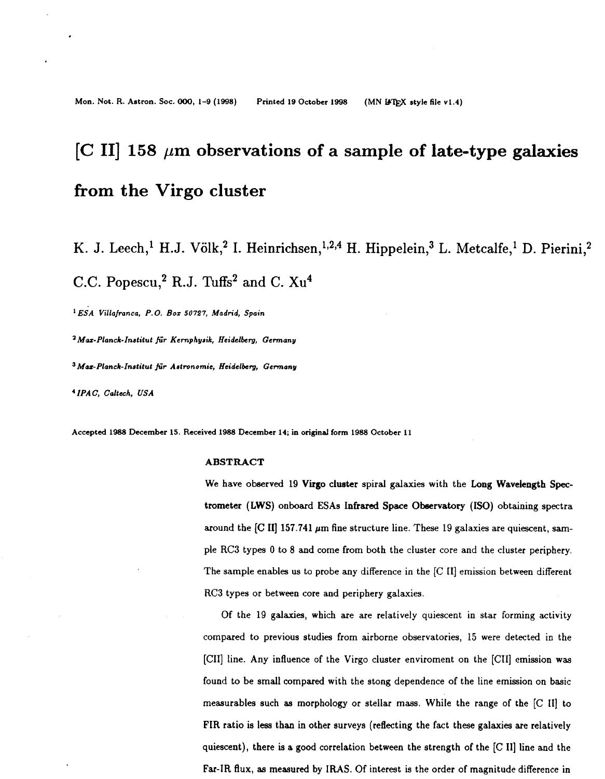# <span id="page-0-0"></span> $\left[ \text{C II} \right]$  158  $\mu$ m observations of a sample of late-type galaxies **from the Virgo cluster**

K. J. Leech,<sup>1</sup> H.J. Völk,<sup>2</sup> I. Heinrichsen,<sup>1,2,4</sup> H. Hippelein,<sup>3</sup> L. Metcalfe,<sup>1</sup> D. Pierini,<sup>2</sup> C.C. Popescu,<sup>2</sup> R.J. Tuffs<sup>2</sup> and C.  $Xu<sup>4</sup>$ 

*ESA* **Villafranca,** *P.O. Boz* **50727, Madrid, Spain** 

**aMar-Planck-Institut fir Kemphysik,** *Heidelberg,* **Germany** 

**3Mar-Planck-Institut fir Astronomie,** *Heidelberg,* **Germany** 

**'IPAC, Caltach,** *USA* 

**Accepted 1988 December 15. Received 1988 December 14; in original form 1988 October 11** 

# **ABSTRACT**

We have observed 19 **Virgo** cluster spiral galaxies with the **Long** Wavelength **Spec**trometer (LWS) onboard **ESAs Infrared** Space Observatory **(ISO)** obtaining spectra around the [C II] 157.741  $\mu$ m fine structure line. These 19 galaxies are quiescent, sample RC3 types **0** to **8** and come from both the cluster core and the cluster periphery. The sample enables us to probe any difference in the [C II] emission between different **RC3** types or between core and periphery galaxies.

Of the 19 galaxies, which are are relatively quiescent in star forming activity compared to previous studies from airborne observatories, **15** were detected in the [CII] line. Any influence of the Virgo cluster enviroment on the **[CII]** emission was found to be small compared with the stong dependence of the line emission on basic measurables such as morphology or stellar mass. While the range of the [C **111** to FIR ratio is less than in other surveys (reflecting the fact these galaxies are relatively quiescent), there is **a** good correlation between the strength of the [C **111** line and the **Far-IR** flux, as measured by IRAS. Of interest is the order of magnitude difference in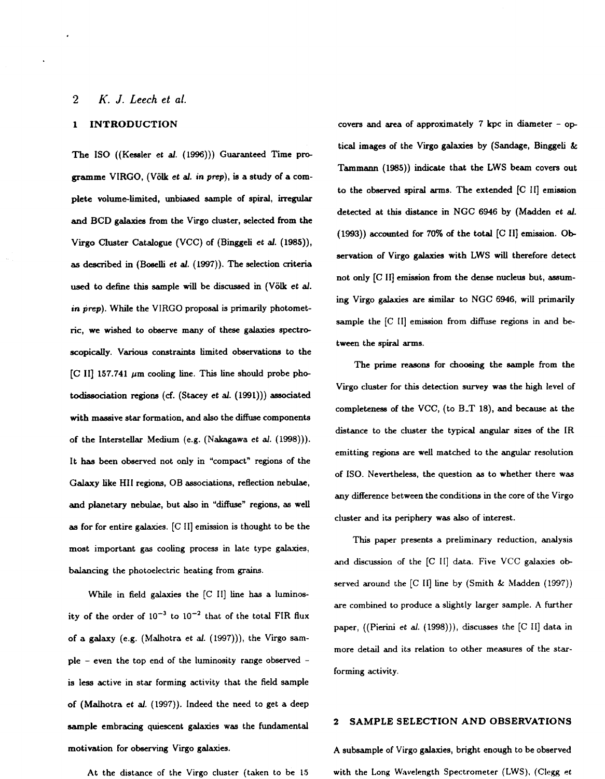# <span id="page-1-0"></span>**2** *K. J. Leech et ai.*

# **1 INTRODUCTION**

**The IS0 ((Kessler et** *al.* **(1996))) Guaranteed Time programme VIRGO, (Volk et** *al.* **in prep), is a study of a complete volumelimited, unbiased sample of spiral, irregular and BCD galaxies from the Virgo cluster, selected from the Virgo Cluster Catalogue (VCC) of (Binggeli et** *a/.* **(1985)),**  as **described** in **(Boselli et** *al.* **(1997)). The selection criteria**  used **to define this sample will be discussed in (Volk et** *al.*  in prep). While the VIRGO proposal is primarily photomet**ric, we wished to observe many of these galaxies spectroscopically. Various constraints limited observations to the**  *[C* **111 157.741 pm cooling line. This line should probe photodissociation regions** *(6.* **(Stacey et** *al.* **(1991))) associated with massive star formation, and** also **the** diffuse **components of the Interstellar Medium (e.g. (Nakagawa et** *al.* **(1998))). It has been observed not only in "compact" regions of the Galaxy like HI1 regions,** OB **associations, reflection nebulae, and planetary nebulae, but** also **in** "diffuse" **regions,** as **well**  as **for for entire galaxies.** *[C* **11] emission is thought to be the most important gas cooling process in late type galaxies, balancing the photoelectric heating from grains.** 

**While** in **field galaxies the** *[C* 111 **line** has **a luminos**ity of the order of  $10^{-3}$  to  $10^{-2}$  that of the total FIR flux **of a galaxy (e.g. (Malhotra et** *al.* **(1997))), the Virgo sample** - **even the top end of the luminosity range observed is** less **active in star forming activity that the field sample of (Malhotra** *et al.* **(1997)). Indeed the need to get a deep**  sample embracing quiescent galaxies was the fundamental **motivation for** observing *Virgo* **galaxies.** 

**At the distance of the Virgo cluster (taken to be 15** 

**covers and area of approximately 7 kpc in diameter** - **op tical images of the Virgo galaxies by (Sandage, Binggeli** & Tammann (1985)) indicate that the LWS beam covers out **to the observed spiral arms. The extended [C 11] emission detected at this distance in NGC 6946 by (Madden et** *al.*  **(1993)) accounted for 70% of the total [C 111 emission. Ob servation of Vigo galaxies with LWS will therefore detect not only [C** III **emission from the dense nucleus but,** assum**ing Virgo gdaxies are similar to NGC 6946,** will **primarily**  sample the [C II] emission from diffuse regions in and be**tween the spiral arms.** 

**The prime reasons for** *choosing* **the sample from the Virgo cluster for this detection survey was the high level of completeness of the VCC, (to B-T 18), and because at the distance to the cluster the typical angular sizes of the IR emitting regions are well matched to the angular resolution of ISO. Nevertheless, the question** as **to whether there was any difference between the conditions** in **the core of the Virgo cluster and its periphery was** also **of interest.** 

**This paper presents a preliminary reduction, analysis**  and discussion of the [C II] data. Five VCC galaxies ob**served around the** *[C* **It] line by (Smith** & **Madden (1997)) are combined to produce a slightly larger sample. A further**  paper, ((Pierini *et al.* (1998))), discusses the [C II] data in **more detail and its relation to other measures of the starforming activity.** 

# **2 SAMPLE SELECTION AND OBSERVATIONS**

**A subsample of Virgo galaxies, bright enough to be observed**  with the Long Wavelength Spectrometer *(LWS)*, *(Clegg et*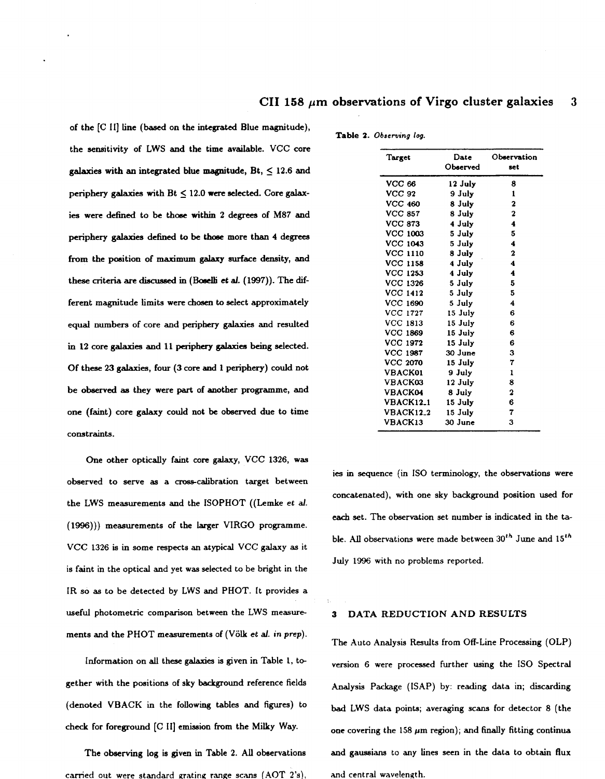<span id="page-2-0"></span>**of the** [C **111 tine (based on the integrated Blue magnitude), the sensitivity of LWS and the time available. VCC core**  galaxies with an integrated blue magnitude,  $Bt$ ,  $\leq 12.6$  and **periphery galaxies with Bt** *5* **12.0 were selected. Core galaxies were defined to be those within 2 degrees of M87 and [periphery galaxies defined to](#page-3-0)** be **thoee more than 4 degreea from the position of maximum** *galaxy* **surface density, and**  these criteria are discussed in (Boselli et al. (1997)). The dif**ferent magnitude limits were** *chosen* **to select approximately equal numbers of core and periphery galaxies and resulted**  in **12 core galaxies and 11 paiphay** *galaxies* **being selected. Of these 23 galaxies, four (3 core and 1 periphery) could not**  be observed as they were part of another programme, and **one (faint) core galaxy could not be observed due to time constraints.** 

**One other optically faint core galaxy, VCC 1326, was**  observed to serve as a cross-calibration target between **the LWS measurements and the ISOPHOT ((Lemke et** *d.*  **(1996))) measurements of the larger VIRGO programme. VCC 1326** is **in some respects** an **atypical VCC galaxy** a **it is faint in the optical and yet was selected to be bright in the IR** *so* **as to be detected by LWS and PHOT. It provides a useful photometric comparison between the LWS measurements and the PHOT measurements of (Volk et** *d.* **in prep).** 

**[Information on all these](#page-0-0)** galaxies **is given in Table 1, together with the positions of sky background reference fields (denoted VBACK** in **the following tables and figures) to**  *check* **for foreground** [C **It] emission from the Milky Way.** 

**[The observing log is given](#page-1-0)** in **Table 2. All observations**  carried out were standard grating range scans (AOT 2's),

| Target           | Date     | Observation |
|------------------|----------|-------------|
|                  | Observed | set         |
| <b>VCC 66</b>    | 12 July  | 8           |
| <b>VCC 92</b>    | 9 July   | 1           |
| <b>VCC 460</b>   | 8 July   | $\mathbf 2$ |
| <b>VCC 857</b>   | 8 July   | $\mathbf 2$ |
| <b>VCC 873</b>   | 4 July   | 4           |
| VCC 1003         | 5 July   | 5           |
| <b>VCC 1043</b>  | 5 July   | 4           |
| <b>VCC 1110</b>  | 8 July   | $\mathbf 2$ |
| <b>VCC 1158</b>  | 4 July   | 4           |
| <b>VCC 1253</b>  | 4 July   | 4           |
| <b>VCC 1326</b>  | 5 July   | 5           |
| VCC 1412         | 5 July   | 5           |
| <b>VCC 1690</b>  | 5 July   | 4           |
| VCC 1727         | 15 July  | 6           |
| VCC 1813         | 15 July  | 6           |
| <b>VCC 1869</b>  | 15 July  | 6           |
| VCC 1972         | 15 July  | 6           |
| <b>VCC 1987</b>  | 30 June  | 3           |
| <b>VCC 2070</b>  | 15 July  | 7           |
| <b>VBACK01</b>   | 9 July   | 1           |
| <b>VBACK03</b>   | 12 July  | 8           |
| <b>VBACK04</b>   | 8 July   | $\mathbf 2$ |
| <b>VBACK12_1</b> | 15 July  | 6           |
| <b>VBACK12_2</b> | 15 July  | 7           |
| <b>VBACK13</b>   | 30 June  | 3           |

**[Table](#page-1-0)** *2.* **Observing** *log.* 

**ies** in **sequence (in IS0 terminology, the observations were concatenated), with one sky background position** used **for**  *each* **set. The observation set number is indicated in the ta**ble. All observations were made between  $30<sup>th</sup>$  June and  $15<sup>th</sup>$ **July 1996 with no problems reported.** 

# **3 DATA REDUCTION AND RESULTS**

**The Auto Analysis Results from Off-Line Processing (OLP) version 6 were processed further using the IS0 Spectral Analysis Package ([SAP) by: reading data in; discarding**  bad **[LWS data points; averaging scans for detector 8](#page-7-0) (the**  one covering the  $158 \mu m$  region); and finally fitting continua **and gaussians to any tines seen in the data to obtain flux**  and **central wavelength.**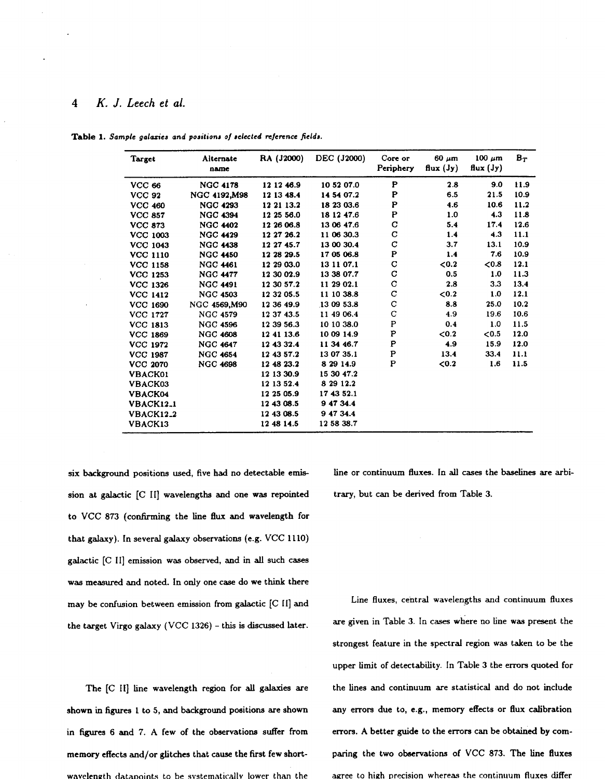# <span id="page-3-0"></span>**4** *K. J. Leech et ai.*

| Target                      | Alternate<br>name | RA (J2000) | DEC (J2000) | Core or<br>Periphery | $60 \mu m$<br>flux $(\mathbf{J}\mathbf{y})$ | $100 \mu m$<br>flux $(\mathbf{J}\mathbf{y})$ | $B_T$ |
|-----------------------------|-------------------|------------|-------------|----------------------|---------------------------------------------|----------------------------------------------|-------|
| <b>VCC 66</b>               | <b>NGC 4178</b>   | 12 12 46.9 | 10 52 07.0  | P                    | 2.8                                         | 9.0                                          | 11.9  |
| <b>VCC 92</b>               | NGC 4192, M98     | 12 13 48.4 | 14 54 07.2  | P                    | 6.5                                         | 21.5                                         | 10.9  |
| <b>VCC 460</b>              | <b>NGC 4293</b>   | 12 21 13.2 | 18 23 03.6  | P                    | 4.6                                         | 10.6                                         | 11.2  |
| <b>VCC 857</b>              | <b>NGC 4394</b>   | 12 25 56.0 | 18 12 47.6  | P                    | 1.0                                         | 4.3                                          | 11.8  |
| <b>VCC 873</b>              | <b>NGC 4402</b>   | 12 26 06.8 | 13 06 47.6  | C                    | 5.4                                         | 17.4                                         | 12.6  |
| <b>VCC 1003</b>             | <b>NGC 4429</b>   | 12 27 26.2 | 11 06 30.3  | С                    | 1.4                                         | 4.3                                          | 11.1  |
| <b>VCC 1043</b>             | <b>NGC 4438</b>   | 12 27 45.7 | 13 00 30.4  | $\mathbf C$          | 3.7                                         | 13.1                                         | 10.9  |
| <b>VCC 1110</b>             | <b>NGC 4450</b>   | 12 28 29.5 | 17 05 06.8  | P                    | 1.4                                         | 7.6                                          | 10.9  |
| <b>VCC 1158</b>             | <b>NGC 4461</b>   | 12 29 03.0 | 13 11 07.1  | C                    | < 0.2                                       | < 0.8                                        | 12.1  |
| <b>VCC 1253</b>             | <b>NGC 4477</b>   | 12 30 02.9 | 13 38 07.7  | С                    | 0.5                                         | 1.0                                          | 11.3  |
| <b>VCC 1326</b>             | <b>NGC 4491</b>   | 12 30 57.2 | 11 29 02.1  | C                    | 2.8                                         | 3.3                                          | 13.4  |
| <b>VCC 1412</b>             | <b>NGC 4503</b>   | 12 32 05.5 | 11 10 38.8  | C                    | < 0.2                                       | 1.0                                          | 12.1  |
| <b>VCC 1690</b>             | NGC 4569, M90     | 12 36 49.9 | 13 09 53.8  | C                    | 8.8                                         | 25.0                                         | 10.2  |
| <b>VCC 1727</b>             | <b>NGC 4579</b>   | 12 37 43.5 | 11 49 06.4  | C                    | 4.9                                         | 19.6                                         | 10.6  |
| <b>VCC 1813</b>             | <b>NGC 4596</b>   | 12 39 56.3 | 10 10 38.0  | $\mathbf P$          | 0.4                                         | 1.0                                          | 11.5  |
| <b>VCC 1869</b>             | <b>NGC 4608</b>   | 12 41 13.6 | 10 09 14.9  | P                    | < 0.2                                       | < 0.5                                        | 12.0  |
| <b>VCC 1972</b>             | <b>NGC 4647</b>   | 12 43 32.4 | 11 34 46.7  | $\mathbf P$          | 4.9                                         | 15.9                                         | 12.0  |
| <b>VCC 1987</b>             | <b>NGC 4654</b>   | 12 43 57.2 | 13 07 35.1  | $\mathbf P$          | 13.4                                        | 33.4                                         | 11.1  |
| <b>VCC 2070</b>             | <b>NGC 4698</b>   | 12 48 23.2 | 8 29 14.9   | $\mathbf P$          | ${<}0.2$                                    | 1.6                                          | 11.5  |
| <b>VBACK01</b>              |                   | 12 13 30.9 | 15 30 47.2  |                      |                                             |                                              |       |
| VBACK03                     |                   | 12 13 52.4 | 8 29 1 2.2  |                      |                                             |                                              |       |
| VBACK04                     |                   | 12 25 05.9 | 17 43 52.1  |                      |                                             |                                              |       |
| <b>VBACK12_1</b>            |                   | 12 43 08.5 | 9 47 34.4   |                      |                                             |                                              |       |
| <b>VBACK12<sub>-2</sub></b> |                   | 12 43 08.5 | 9 47 34.4   |                      |                                             |                                              |       |
| VBACK13                     |                   | 12 48 14.5 | 12 58 38.7  |                      |                                             |                                              |       |

Table 1. Sample galaxies and positions of selected reference fields.

**six** background positions **used,** five had no detectable emission at galactic [C 11] wavelengths and one was repointed to VCC **873** (confirming the line flux and wavelength for that galaxy). In several **galaxy** observations (e.g. VCC **1110)**  galactic [C **111** emission was observed, and in **all** such cases was measured and noted. In only one case do we think there may be confusion between emission **from** galactic [C **[I]** and the target Virgo galaxy (VCC **1326)** - this is discussed later.

The [C **111** tine wavelength region for **all** galaxies are shown in **figures 1** to **5,** and background positions are shown in *figures 6* **and 7. A** few of the observations suffer **from**  memory effects and/or ghtches that cause the first few **shortwavelength datapoints to be systematically lower than the**  line or continuum fluxes. In **all cases** the baselines are arbi[trary, but can be derived](#page-2-0) **from** Table **3.** 

Line fluxes, central wavelengths and continuum fluxes are given in Table **3.** In **cases** where no tine **was** present the strongest feature in the spectral region **was** taken to be the upper limit of detectability. In Table 3 the errors quoted for the lines and continuum are statistical and do not include any errors due to, e.g., memory effects or flux calibration errors. **A** better guide to the errors can be obtained by comparing the two observations **of** VCC **873.** The line fluxes agree **to** high nrecision whereas the continuum fluxes differ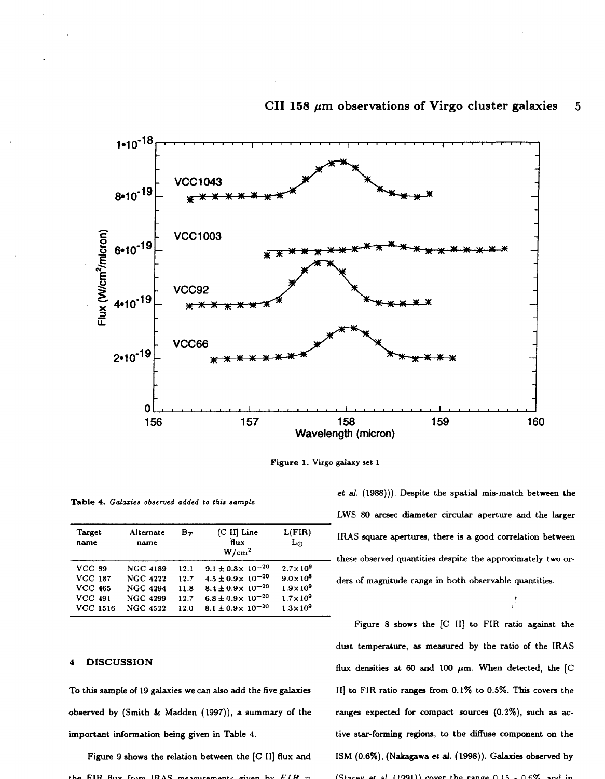<span id="page-4-0"></span>

# CII 158  $\mu$ m observations of Virgo cluster galaxies 5

**Figure 1.** Virgo **galaxy set 1** 

**Table 4.** *Calaries observed added to this* **sample** 

| Target<br>name  | Alternate<br>name | $B_T$ | $[C \, II]$ Line<br>flux<br>W/cm <sup>2</sup> | L(FIR)<br>L۵        |
|-----------------|-------------------|-------|-----------------------------------------------|---------------------|
| <b>VCC 89</b>   | <b>NGC 4189</b>   | 12.1  | $9.1 \pm 0.8 \times 10^{-20}$                 | $2.7 \times 10^{9}$ |
| <b>VCC 187</b>  | <b>NGC 4222</b>   | 12.7  | $4.5 \pm 0.9 \times 10^{-20}$                 | $9.0 \times 10^{8}$ |
| <b>VCC 465</b>  | <b>NGC 4294</b>   | 11.8  | $8.4 \pm 0.9 \times 10^{-20}$                 | $1.9\times10^9$     |
| <b>VCC 491</b>  | <b>NGC 4299</b>   | 12.7  | $6.8 \pm 0.9 \times 10^{-20}$                 | $1.7\times10^9$     |
| <b>VCC 1516</b> | <b>NGC 4522</b>   | 12.0  | $8.1 \pm 0.9 \times 10^{-20}$                 | $1.3 \times 10^9$   |

# **4 DISCUSSION**

To **this sample of 19 galaxies we can also add the five galaxies observed by (Smith** & **Madden (1997)), a summary of the important information being given in Table 4.** 

**Figure 9 shows the relation between the [C 11] flux and**   $FIR$   $A_{\text{UV}}$   $f_{\text{num}}$   $IPAS$  *monouraments given* by

*et al.* **(1988))). Despite the spatial mis-match between the**  LWS *80* arcsec **diameter circular aperture and the larger IRAS square apertures, there is a good correlation between these observed quantities despite the approximately two orders of magnitude range** in **both observable quantities.** 

> \* L

[Figure](#page-5-0) 8 shows the [C II] to FIR ratio against the **dust temperature, as meaured by the ratio of the IRAS**  flux densities at  $60$  and  $100 \mu m$ . When detected, the [C **111 to FIR ratio ranges from 0.1% to 0.5%. This covers the ranges expected for compact murces** *(O.2%),* **such aa** ac**tive star-forming regions, to the** diffuse **component on the ISM** *(0.6%),* **(Nakagawa** *et al.* **(1998)). Galaxies observed by**   $(St_{0.000} + a)$  (1991) cover the range  $0.15 - 0.6\%$  and in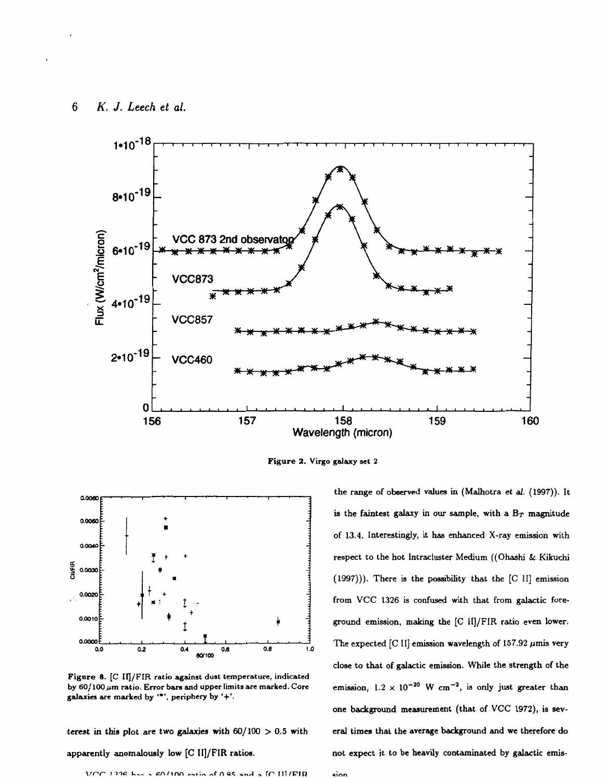<span id="page-5-0"></span>*6 K. J. Leech et* **al.** 



Figure 2. Virgo galaxy set 2

**-Inn** 



**Figure 8. [C IU/FIR ratio against dust temperature, indicated**  by 60/100  $\mu$ m ratio. Error bars and upper limits are marked. Core **galaxies are marked by** *I\*',* **periphery by '+I.** 

**terest** in **this plot** *are* **two galaxies with** @/lo0 > **0.5 with** 

# apparently anomalously low [C II]/FIR ratios.

IC III/FIR  $VCT$  $60/100$  ratio of  $0.85$ 

**the range of** observed **values** in **(Malhotra et** *al.* **(1997)). It**  is the faintest galaxy in our sample, with a  $B_T$  magnitude **of 13.4. Interestingly, it has enhanced X-ray emission with respect to the hot lntracluster Medium** ((Ohashi *k* **Kikuchi (1997))). There is the possibility that the [C** 111 **emission from VCC 1326 is confused with that from galactic foreground emission, making the** [C **II]/FIR ratio even lower.**  The expected [C II] emission wavelength of 157.92  $\mu$ mis very **close to that of galactic emission. While the strength of the**  emission,  $1.2 \times 10^{-20}$  W cm<sup>-2</sup>, is only just greater than **one background measurement (that of** VCC **1972), is several times that the average background and we therefore do not expect it to be heavily contaminated by galactic emis-**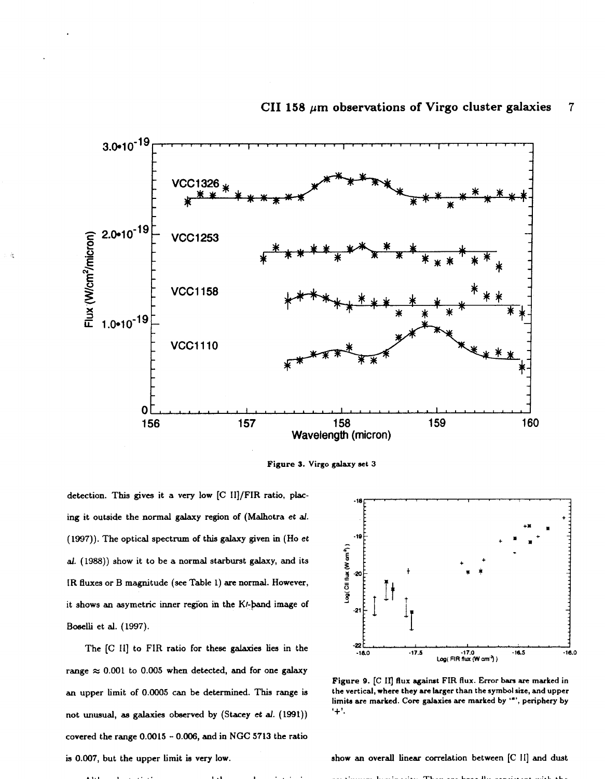<span id="page-6-0"></span>



detection. This gives it a very low [C II]/FIR ratio, plac**ing it outside the normal galaxy region of (Malhotra** *et d.*  **(1997)). The optical spectrum of this galaxy given** in (Ho **et**  *al.* **(1988)) show it to be a normal starburst galaxy, and its IR fluxes or B magnitude** *(see* **Table 1)** *are* **normal. However,**  it shows an asymetric inner region in the K/-band image of **Boselli et al. (1997).** 

**The [C 111 to FIR ratio for these galaxies lies** in **the**  range  $\approx 0.001$  to 0.005 when detected, and for one galaxy **an upper limit of 0.0005 can be determined. This range is not unusual, ae galaxies observed by (Stacey et** *d.* **(1991)) covered the range 0.0015** - *0.006,* **and in NGC 5713 the ratio**  is 0.007, but the upper limit is very low. **show** an overall linear correlation between [C II] and dust



Figure 9. [C II] flux against FIR flux. Error bars are marked in **the vertical, where they** *an* **larger than the symbolsize, and upper**  limits are marked. Core galaxies are marked by '\*', periphery by **I+'.**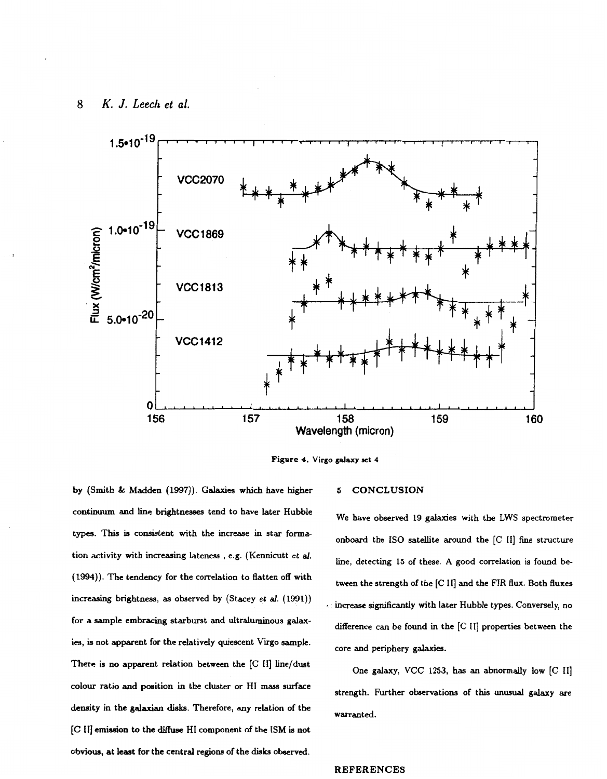# <span id="page-7-0"></span>**8** *K. J. Leech et al.*



**Figure 4. Virgo** *galaxy* **set 4** 

**by (Smith** & **Madden (1997)).** Galaxies **which ave higher 5 CONCLUSION continuum and line brightnesses tend to have later Hubble types. This** is **consistent with the increase** in **star formation activity with increasing lateness** , **e.g. (Kennicutt** *et al.*  **(1994)). The tendency for the correlation to flatten off with increasing brightness,** as **observed by (Stacey et** *al.* **(1991)) for a sample embracing starburst and ultraluminous galaxies, is not apparent for the relatively quiescent Virgo sample.**  There is no apparent relation between the [C II] line/dust **colour ratio and position in the cluster or HI mass surface density in the galaxian dish. Therefore, any relation of the**  *[C* **11) emission to the diffuse HI component of the ISM is not obvious, at least for the central regiona of the disks** observed.

**We have observed 19 galaxies with the** LWS **spectrometer onboard the IS0 satellite around the** *[C* **111 fine structure line, detecting 15 of these. A good correlation is found between the strength of the [C 111 and the** FIR flux. **Both fluxes**  increase significantly with later Hubble types. Conversely, no **difference can be found** in **the** *[C* **111 properties between the core and periphery galaxies.** 

One galaxy, VCC 1253, has an abnormally low [C II] strength. Further observations of this unusual galaxy are **warranted.** 

# **REFERENCES**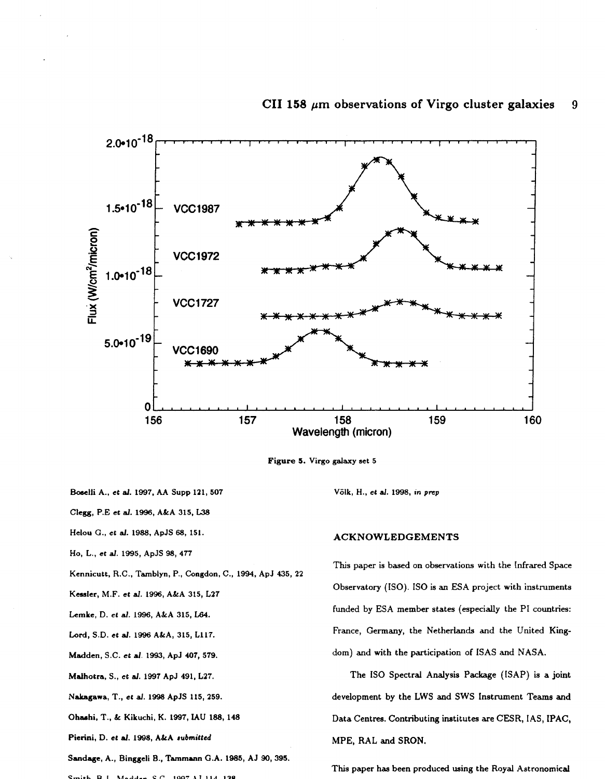# CII 158  $\mu$ m observations of Virgo cluster galaxies 9

<span id="page-8-0"></span>

**Figure 5. Virgo galaxy set 5** 

**klass Boselli A., et al. 1997, AA Supp 121, 507** Völk, H., *et al. 1998, in prep* 

Clegg, **P.E et** *d.* **1996, ALA 315,** L38

**Hetou** *G.,* **et** *af.* **1988, ApJS 68, 151.** 

**Ho, L., et** *al.* **1995, ApJS 98, 477** 

**Kennicutt,** R.C., **Tmblyn, P., Congdon, C., 1994, ApJ 435, 22** 

**Lemke,** D. **et** *al.* **1996, AJrA 315,** L64.

**Lord,** S.D. **et** *al.* **1996 ALA, 315, L117.** 

**Pierini,** D. **et** *a/.* **1998, ALA rubmilled** 

**Sandage, A., Binggeli E., Tammann G.A. 1986, AJ 90,395.** 

*P":.L* **D I X,-L.-** *c ri* **\*An- .I** *\*.A* **I-\*** 

# **ACKNOWLEDGEMENTS**

**This paper is based on observations with the Infrared Space Kessler, M.F.** *et al.* **1996, ALA 315, L27 Observatory** (ISO). **IS0 is** an **ESA project with instruments Madden,** S.C. **et** *al.* **1993, ApJ 407, 579. dom) and with the participation** of **ISAS and NASA. funded by ESA member states (especially the** PI **countries: France, Germany, the Netherlands and the United King-**

**Malhotra,** S., **et** *d.* **1997 ApJ 491, L27. The** IS0 **Spectral Analysis Package (ISAP) is a joint NaLagawa,** T., **et** *al.* **1998 ApJS 115,259. development by the LWS and SWS Instrument Teams and**  Ohashi, T., & Kikuchi, K. 1997, IAU 188, 148 **Data Centres. Contributing institutes are CESR**, IAS, IPAC, **MPE, RAL and SRON.** 

**This paper has been produced using the** Royal **Astronomical**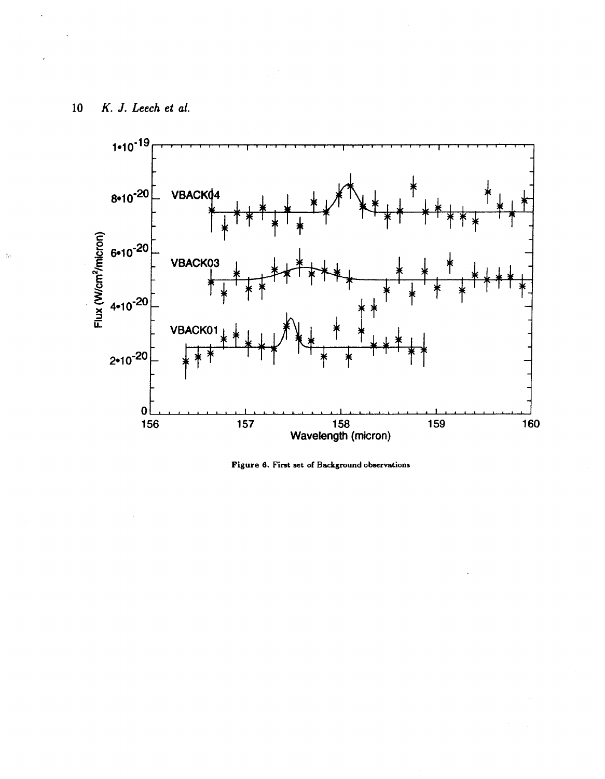<span id="page-9-0"></span>**10** *K. J. Leech et of.* 





 $\frac{1}{2} \rho_1$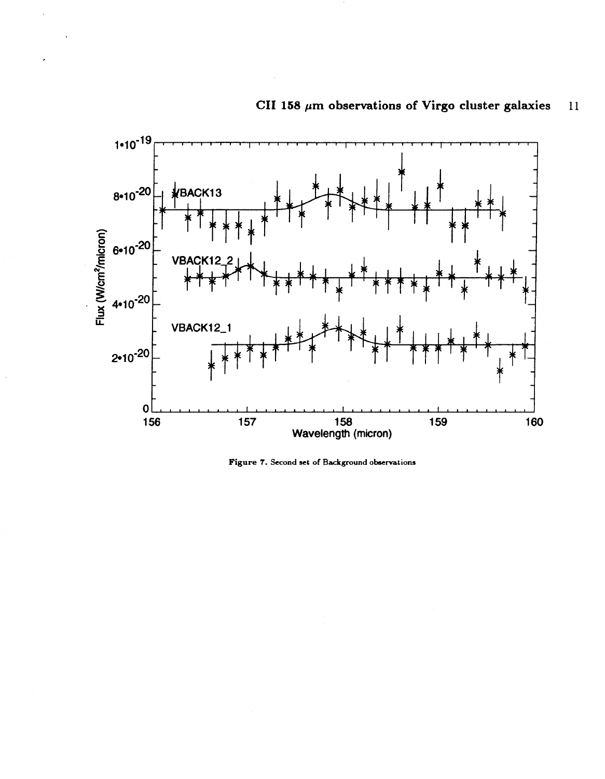<span id="page-10-0"></span>

### **CII 158 pm observations of Virgo cluster galaxies 11**

**Figure 7. Second set of Background observations**